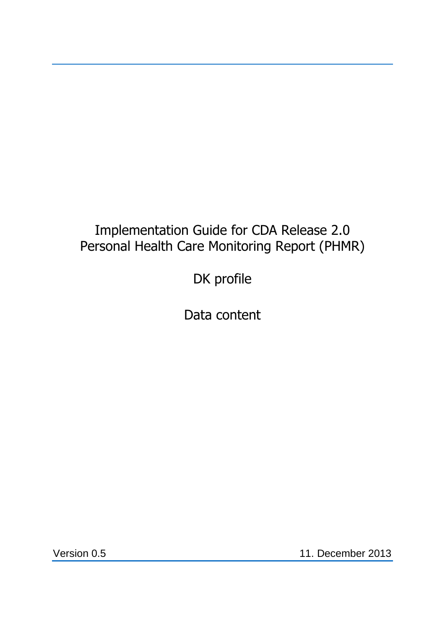# Implementation Guide for CDA Release 2.0 Personal Health Care Monitoring Report (PHMR)

DK profile

Data content

Version 0.5 11. December 2013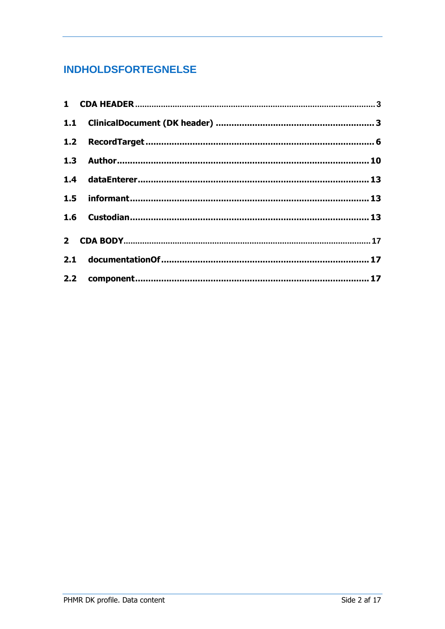# **INDHOLDSFORTEGNELSE**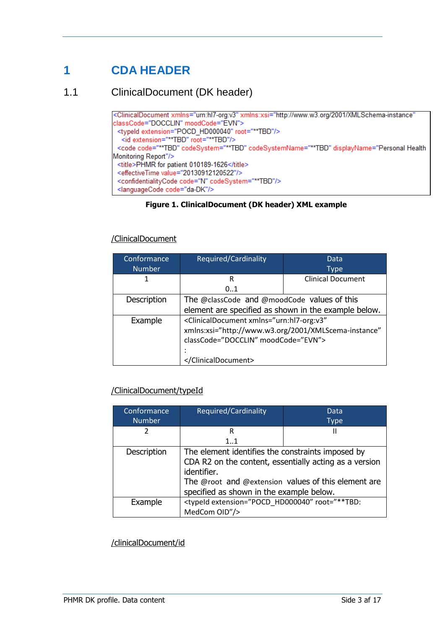# <span id="page-2-0"></span>**1 CDA HEADER**

<span id="page-2-1"></span>1.1 ClinicalDocument (DK header)

```
<ClinicalDocument xmlns="urn:hl7-org:v3" xmlns:xsi="http://www.w3.org/2001/XMLSchema-instance"
classCode="DOCCLIN" moodCode="EVN">
 <typeld extension="POCD_HD000040" root="**TBD"/>
  <id extension="**TBD" root="**TBD"/>
 <code code="**TBD" codeSystem="**TBD" codeSystemName="**TBD" displayName="Personal Health
Monitoring Report"/>
 <title>PHMR for patient 010189-1626</title>
 <effectiveTime value="20130912120522"/>
 <confidentialityCode code="N" codeSystem="**TBD"/>
 <languageCode code="da-DK"/>
```
#### **Figure 1. ClinicalDocument (DK header) XML example**

#### /ClinicalDocument

| Conformance   | Required/Cardinality                                                    | Data                     |
|---------------|-------------------------------------------------------------------------|--------------------------|
| <b>Number</b> |                                                                         | Type                     |
|               | R                                                                       | <b>Clinical Document</b> |
|               | 01                                                                      |                          |
| Description   | The @classCode and @moodCode values of this                             |                          |
|               | element are specified as shown in the example below.                    |                          |
| Example       | <clinicaldocument <="" td="" xmlns="urn:hl7-org:v3"></clinicaldocument> |                          |
|               | xmlns:xsi="http://www.w3.org/2001/XMLScema-instance"                    |                          |
|               | classCode="DOCCLIN" moodCode="EVN">                                     |                          |
|               |                                                                         |                          |
|               |                                                                         |                          |

### /ClinicalDocument/typeId

| Conformance   | Required/Cardinality                                                                                                                                                                                                          | Data        |
|---------------|-------------------------------------------------------------------------------------------------------------------------------------------------------------------------------------------------------------------------------|-------------|
| <b>Number</b> |                                                                                                                                                                                                                               | <b>Type</b> |
| 2             | R                                                                                                                                                                                                                             | Ш           |
|               | 11                                                                                                                                                                                                                            |             |
| Description   | The element identifies the constraints imposed by<br>CDA R2 on the content, essentially acting as a version<br>identifier.<br>The @root and @extension values of this element are<br>specified as shown in the example below. |             |
| Example       | <typeid extension="POCD HD000040" root="**TBD:&lt;br&gt;MedCom OID"></typeid>                                                                                                                                                 |             |

/clinicalDocument/id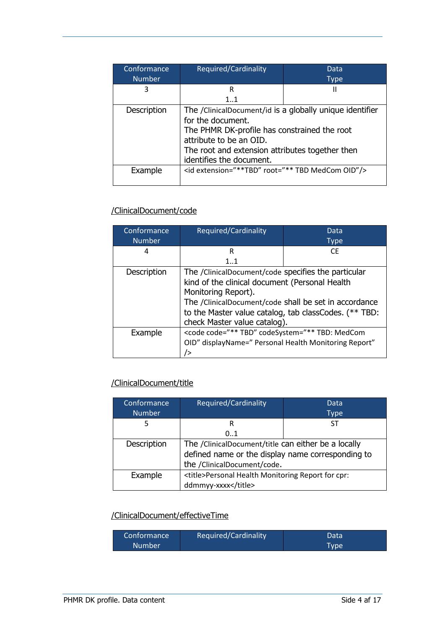| Conformance   | Required/Cardinality                                                                                                                                                                                                                    | Data        |
|---------------|-----------------------------------------------------------------------------------------------------------------------------------------------------------------------------------------------------------------------------------------|-------------|
| <b>Number</b> |                                                                                                                                                                                                                                         | <b>Type</b> |
| 3             | R                                                                                                                                                                                                                                       | Ш           |
|               | 11                                                                                                                                                                                                                                      |             |
| Description   | The /ClinicalDocument/id is a globally unique identifier<br>for the document.<br>The PHMR DK-profile has constrained the root<br>attribute to be an OID.<br>The root and extension attributes together then<br>identifies the document. |             |
| Example       | <id extension="**TBD" root="** TBD MedCom OID"></id>                                                                                                                                                                                    |             |

# /ClinicalDocument/code

| Conformance   | Required/Cardinality                                                                                                                                                                                                                                                           | Data        |
|---------------|--------------------------------------------------------------------------------------------------------------------------------------------------------------------------------------------------------------------------------------------------------------------------------|-------------|
| <b>Number</b> |                                                                                                                                                                                                                                                                                | <b>Type</b> |
| 4             | R                                                                                                                                                                                                                                                                              | CF.         |
|               | $1_{}1$                                                                                                                                                                                                                                                                        |             |
| Description   | The /ClinicalDocument/code specifies the particular<br>kind of the clinical document (Personal Health<br>Monitoring Report).<br>The /ClinicalDocument/code shall be set in accordance<br>to the Master value catalog, tab classCodes. (** TBD:<br>check Master value catalog). |             |
| Example       | <code <="" code="** TBD" codesystem="** TBD: MedCom&lt;br&gt;OID" displayname=" Personal Health Monitoring Report" td=""></code>                                                                                                                                               |             |

# /ClinicalDocument/title

| Conformance<br><b>Number</b> | Required/Cardinality                                                                                                                    | Data<br><b>Type</b> |
|------------------------------|-----------------------------------------------------------------------------------------------------------------------------------------|---------------------|
|                              | R                                                                                                                                       | SТ                  |
|                              | 0.1                                                                                                                                     |                     |
| Description                  | The /ClinicalDocument/title can either be a locally<br>defined name or the display name corresponding to<br>the /ClinicalDocument/code. |                     |
| Example                      | <title>Personal Health Monitoring Report for cpr:<br/>ddmmyy-xxxx</title>                                                               |                     |

# /ClinicalDocument/effectiveTime

| Conformance <sup>1</sup> | Required/Cardinality | Data        |
|--------------------------|----------------------|-------------|
| <b>Number</b>            |                      | <b>Type</b> |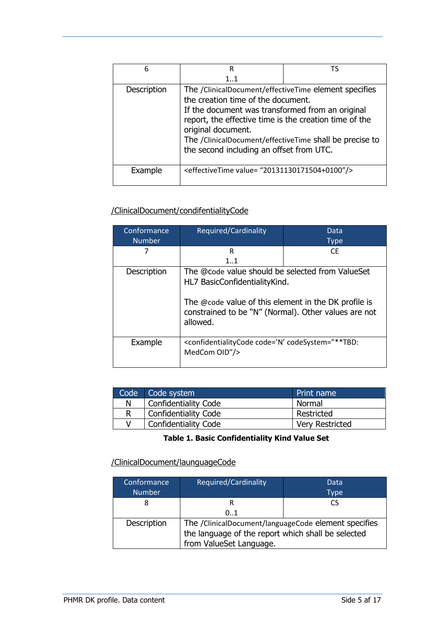| 6           | R                                                                                                                                                                                                                                                                                                                                      | TS |
|-------------|----------------------------------------------------------------------------------------------------------------------------------------------------------------------------------------------------------------------------------------------------------------------------------------------------------------------------------------|----|
|             | $1_{}1$                                                                                                                                                                                                                                                                                                                                |    |
| Description | The /ClinicalDocument/effectiveTime element specifies<br>the creation time of the document.<br>If the document was transformed from an original<br>report, the effective time is the creation time of the<br>original document.<br>The /ClinicalDocument/effectiveTime shall be precise to<br>the second including an offset from UTC. |    |
| Example     | <effectivetime value="20131130171504+0100"></effectivetime>                                                                                                                                                                                                                                                                            |    |

# /ClinicalDocument/condifentialityCode

| Conformance   | Required/Cardinality                                                                                                                                                                                          | Data        |
|---------------|---------------------------------------------------------------------------------------------------------------------------------------------------------------------------------------------------------------|-------------|
| <b>Number</b> |                                                                                                                                                                                                               | <b>Type</b> |
| 7             | R                                                                                                                                                                                                             | CF.         |
|               | $1_{}1$                                                                                                                                                                                                       |             |
| Description   | The @code value should be selected from ValueSet<br>HL7 BasicConfidentialityKind.<br>The @code value of this element in the DK profile is<br>constrained to be "N" (Normal). Other values are not<br>allowed. |             |
| Example       | <confidentialitycode code="N" codesystem="**TBD:&lt;br&gt;MedCom OID"></confidentialitycode>                                                                                                                  |             |

|   | Code Code system            | Print name             |
|---|-----------------------------|------------------------|
| N | <b>Confidentiality Code</b> | Normal                 |
| R | <b>Confidentiality Code</b> | Restricted             |
|   | <b>Confidentiality Code</b> | <b>Very Restricted</b> |

### **Table 1. Basic Confidentiality Kind Value Set**

### /ClinicalDocument/launguageCode

| Conformance<br><b>Number</b> | Required/Cardinality                                                                                                                  | <b>Data</b><br><b>Type</b> |
|------------------------------|---------------------------------------------------------------------------------------------------------------------------------------|----------------------------|
|                              |                                                                                                                                       | CS                         |
|                              | 01                                                                                                                                    |                            |
| Description                  | The /ClinicalDocument/languageCode element specifies<br>the language of the report which shall be selected<br>from ValueSet Language. |                            |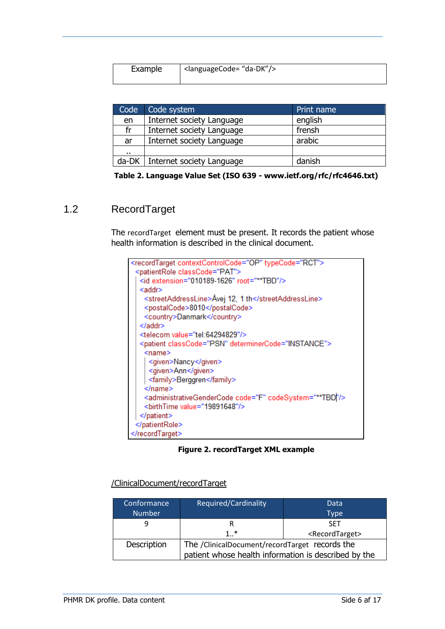| Example | <sup>1</sup> <languagecode= "da-dk"=""></languagecode=> |
|---------|---------------------------------------------------------|
|         |                                                         |
|         |                                                         |
|         |                                                         |

| Code | Code system                       | Print name |
|------|-----------------------------------|------------|
| en   | Internet society Language         | english    |
| fr   | Internet society Language         | frensh     |
| ar   | Internet society Language         | arabic     |
|      |                                   |            |
|      | da-DK   Internet society Language | danish     |

**Table 2. Language Value Set (ISO 639 - www.ietf.org/rfc/rfc4646.txt)**

# <span id="page-5-0"></span>1.2 RecordTarget

The recordTarget element must be present. It records the patient whose health information is described in the clinical document.

| <recordtarget contextcontrolcode="OP" typecode="RCT"></recordtarget>               |
|------------------------------------------------------------------------------------|
| <patientrole classcode="PAT"></patientrole>                                        |
| <id extension="010189-1626" root="**TBD"></id>                                     |
| <addr></addr>                                                                      |
| <streetaddressline>Åvej 12, 1 th</streetaddressline>                               |
| <postalcode>8010</postalcode>                                                      |
| <country>Danmark</country>                                                         |
|                                                                                    |
| <telecom value="tel:64294829"></telecom>                                           |
| <patient classcode="PSN" determinercode="INSTANCE"></patient>                      |
| $<$ name $>$                                                                       |
| <given>Nancy</given>                                                               |
| <given>Ann</given>                                                                 |
| <family>Berggren</family>                                                          |
|                                                                                    |
| <administrativegendercode code="F" codesystem="**TBD "></administrativegendercode> |
| <birthtime value="19891648"></birthtime>                                           |
|                                                                                    |
|                                                                                    |
|                                                                                    |

**Figure 2. recordTarget XML example**

| /ClinicalDocument/recordTarget |
|--------------------------------|
|--------------------------------|

| Conformance   | <b>Required/Cardinality</b>                          | Data                          |
|---------------|------------------------------------------------------|-------------------------------|
| <b>Number</b> |                                                      | <b>Type</b>                   |
|               | R                                                    | <b>SFT</b>                    |
|               | $1.$ <sup>*</sup>                                    | <recordtarget></recordtarget> |
| Description   | The /ClinicalDocument/recordTarget records the       |                               |
|               | patient whose health information is described by the |                               |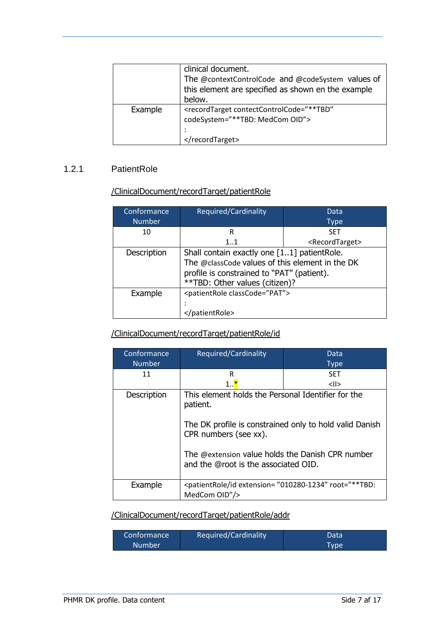|         | clinical document.<br>The @contextControlCode and @codeSystem values of<br>this element are specified as shown en the example<br>below. |
|---------|-----------------------------------------------------------------------------------------------------------------------------------------|
| Example | <recordtarget <br="" contectcontrolcode="**TBD">codeSystem="**TBD: MedCom OID"&gt;<br/></recordtarget>                                  |

#### 1.2.1 PatientRole

#### /ClinicalDocument/recordTarget/patientRole

| Conformance   | Required/Cardinality                                                                                                                                                           | Data                          |
|---------------|--------------------------------------------------------------------------------------------------------------------------------------------------------------------------------|-------------------------------|
| <b>Number</b> |                                                                                                                                                                                | Type                          |
| 10            | R                                                                                                                                                                              | <b>SET</b>                    |
|               | $1_{}1$                                                                                                                                                                        | <recordtarget></recordtarget> |
| Description   | Shall contain exactly one [11] patientRole.<br>The @classCode values of this element in the DK<br>profile is constrained to "PAT" (patient).<br>**TBD: Other values (citizen)? |                               |
| Example       | <patientrole classcode="PAT"><br/>patientRole&gt;</patientrole>                                                                                                                |                               |

### /ClinicalDocument/recordTarget/patientRole/id

| Conformance   | Required/Cardinality                                                                                                                                                                                                                           | Data          |
|---------------|------------------------------------------------------------------------------------------------------------------------------------------------------------------------------------------------------------------------------------------------|---------------|
| <b>Number</b> |                                                                                                                                                                                                                                                | <b>Type</b>   |
| 11            | R                                                                                                                                                                                                                                              | <b>SET</b>    |
|               | 1 <mark>*</mark>                                                                                                                                                                                                                               | $\langle$ ll> |
| Description   | This element holds the Personal Identifier for the<br>patient.<br>The DK profile is constrained only to hold valid Danish<br>CPR numbers (see xx).<br>The @extension value holds the Danish CPR number<br>and the @root is the associated OID. |               |
| Example       | <patientrole extension="010280-1234" id="" root="**TBD:&lt;br&gt;MedCom OID"></patientrole>                                                                                                                                                    |               |

## /ClinicalDocument/recordTarget/patientRole/addr

| Conformance <sup>1</sup> | Required/Cardinality | Data |
|--------------------------|----------------------|------|
| <b>Number</b>            |                      | Type |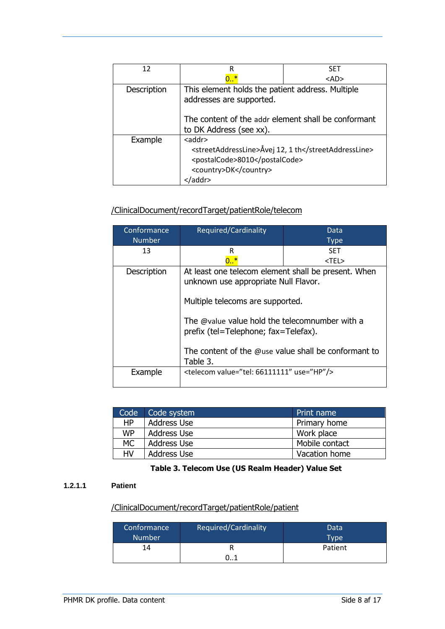| 12          | R                                                                            | <b>SFT</b> |
|-------------|------------------------------------------------------------------------------|------------|
|             | 0. .                                                                         | <ad></ad>  |
| Description | This element holds the patient address. Multiple<br>addresses are supported. |            |
|             | The content of the addr element shall be conformant                          |            |
|             | to DK Address (see xx).                                                      |            |
| Example     | $<$ addr $>$                                                                 |            |
|             | <streetaddressline>Åvej 12, 1 th</streetaddressline>                         |            |
|             | <postalcode>8010</postalcode>                                                |            |
|             | <country>DK</country>                                                        |            |
|             | /addr>                                                                       |            |

## /ClinicalDocument/recordTarget/patientRole/telecom

| Conformance<br><b>Number</b> | Required/Cardinality                                                                                                                                                                                                                                                                                  | Data<br><b>Type</b> |
|------------------------------|-------------------------------------------------------------------------------------------------------------------------------------------------------------------------------------------------------------------------------------------------------------------------------------------------------|---------------------|
| 13                           | R                                                                                                                                                                                                                                                                                                     | <b>SET</b>          |
|                              |                                                                                                                                                                                                                                                                                                       | <tel></tel>         |
| Description                  | At least one telecom element shall be present. When<br>unknown use appropriate Null Flavor.<br>Multiple telecoms are supported.<br>The @value value hold the telecomnumber with a<br>prefix (tel=Telephone; fax=Telefax).<br>The content of the $\omega$ use value shall be conformant to<br>Table 3. |                     |
| Example                      | <telecom use="HP" value="tel: 66111111"></telecom>                                                                                                                                                                                                                                                    |                     |

| Code      | Code system        | <b>Print name</b> |
|-----------|--------------------|-------------------|
| НP        | <b>Address Use</b> | Primary home      |
| <b>WP</b> | Address Use        | Work place        |
| <b>MC</b> | Address Use        | Mobile contact    |
| HV        | Address Use        | Vacation home     |

#### **Table 3. Telecom Use (US Realm Header) Value Set**

#### <span id="page-7-0"></span>**1.2.1.1 Patient**

### /ClinicalDocument/recordTarget/patientRole/patient

| Conformance<br><b>Number</b> | Required/Cardinality | Data<br>Type |
|------------------------------|----------------------|--------------|
| 14                           |                      | Patient      |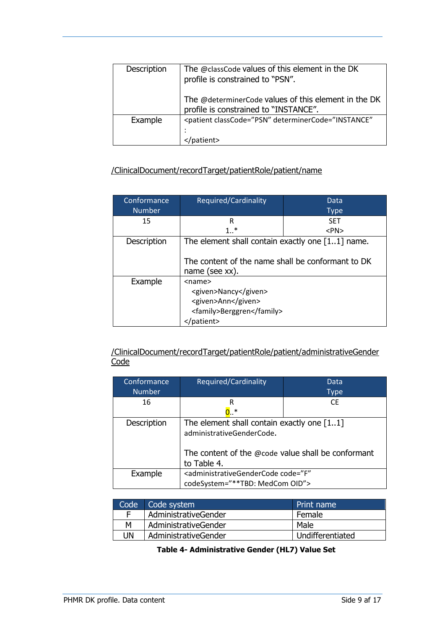| Description | The @classCode values of this element in the DK<br>profile is constrained to "PSN".           |
|-------------|-----------------------------------------------------------------------------------------------|
|             | The @determinerCode values of this element in the DK<br>profile is constrained to "INSTANCE". |
| Example     | <patient <="" classcode="PSN" determinercode="INSTANCE" td=""></patient>                      |
|             | tient>                                                                                        |

### /ClinicalDocument/recordTarget/patientRole/patient/name

| Conformance   | Required/Cardinality                                                                                         | <b>Data</b> |
|---------------|--------------------------------------------------------------------------------------------------------------|-------------|
| <b>Number</b> |                                                                                                              | <b>Type</b> |
| 15            | R                                                                                                            | <b>SFT</b>  |
|               | $1.$ <sup>*</sup>                                                                                            | $<$ PN $>$  |
| Description   | The element shall contain exactly one $[11]$ name.                                                           |             |
|               | The content of the name shall be conformant to DK<br>name (see $xx$ ).                                       |             |
| Example       | <name><br/><given>Nancy</given><br/><given>Ann</given><br/><family>Berggren</family><br/>'patient&gt;</name> |             |

/ClinicalDocument/recordTarget/patientRole/patient/administrativeGender **Code** 

| Conformance   | Required/Cardinality                                                                                                                             | Data        |
|---------------|--------------------------------------------------------------------------------------------------------------------------------------------------|-------------|
| <b>Number</b> |                                                                                                                                                  | <b>Type</b> |
| 16            | R                                                                                                                                                | <b>CE</b>   |
|               | $0. *$                                                                                                                                           |             |
| Description   | The element shall contain exactly one $[11]$<br>administrativeGenderCode.<br>The content of the $@code$ value shall be conformant<br>to Table 4. |             |
| Example       | <administrativegendercode <="" code="F" td=""></administrativegendercode>                                                                        |             |
|               | codeSystem="**TBD: MedCom OID">                                                                                                                  |             |

<span id="page-8-0"></span>

|    | Code Code system     | Print name       |
|----|----------------------|------------------|
| F  | AdministrativeGender | Female           |
| м  | AdministrativeGender | Male             |
| UN | AdministrativeGender | Undifferentiated |

#### **Table 4- Administrative Gender (HL7) Value Set**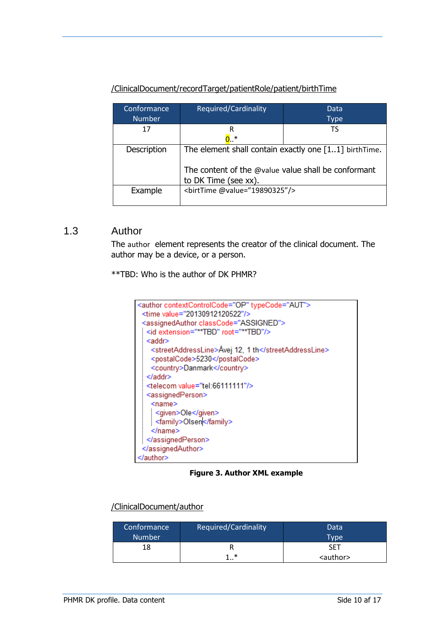# /ClinicalDocument/recordTarget/patientRole/patient/birthTime

| Conformance   | Required/Cardinality                                  | Data        |
|---------------|-------------------------------------------------------|-------------|
| <b>Number</b> |                                                       | <b>Type</b> |
| 17            | R                                                     | TS          |
|               | $0. *$                                                |             |
| Description   | The element shall contain exactly one [11] birthTime. |             |
|               | The content of the @value value shall be conformant   |             |
|               | to DK Time (see xx).                                  |             |
| Example       |                                                       |             |

## <span id="page-9-0"></span>1.3 Author

The author element represents the creator of the clinical document. The author may be a device, or a person.

\*\*TBD: Who is the author of DK PHMR?



**Figure 3. Author XML example**

#### /ClinicalDocument/author

| Conformance   | Required/Cardinality | Data              |
|---------------|----------------------|-------------------|
| <b>Number</b> |                      | Type              |
|               |                      | SET               |
|               | *                    | <author></author> |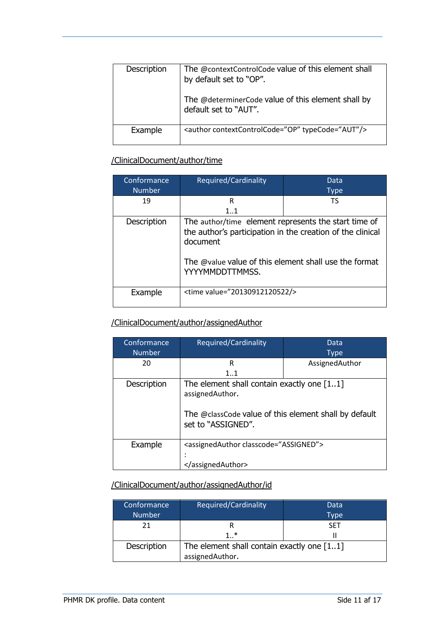| Description | The @contextControlCode value of this element shall<br>by default set to "OP".<br>The @determinerCode value of this element shall by<br>default set to "AUT". |
|-------------|---------------------------------------------------------------------------------------------------------------------------------------------------------------|
| Example     | <author contextcontrolcode="OP" typecode="AUT"></author>                                                                                                      |
|             |                                                                                                                                                               |

## /ClinicalDocument/author/time

| Conformance   | Required/Cardinality                                                                                                                                                                                       | Data        |
|---------------|------------------------------------------------------------------------------------------------------------------------------------------------------------------------------------------------------------|-------------|
| <b>Number</b> |                                                                                                                                                                                                            | <b>Type</b> |
| 19            | R                                                                                                                                                                                                          | TS          |
|               | $1_{}1$                                                                                                                                                                                                    |             |
| Description   | The author/time element represents the start time of<br>the author's participation in the creation of the clinical<br>document<br>The @value value of this element shall use the format<br>YYYYMMDDTTMMSS. |             |
| Example       | <time value="20130912120522/>                                                                                                                                                                              |             |

#### /ClinicalDocument/author/assignedAuthor

| Conformance   | Required/Cardinality                                                                                                                           | Data           |
|---------------|------------------------------------------------------------------------------------------------------------------------------------------------|----------------|
| <b>Number</b> |                                                                                                                                                | <b>Type</b>    |
| 20            | R                                                                                                                                              | AssignedAuthor |
|               | 11                                                                                                                                             |                |
| Description   | The element shall contain exactly one $[11]$<br>assignedAuthor.<br>The @classCode value of this element shall by default<br>set to "ASSIGNED". |                |
| Example       | <assignedauthor classcode="ASSIGNED"></assignedauthor>                                                                                         |                |
|               |                                                                                                                                                |                |
|               |                                                                                                                                                |                |

# /ClinicalDocument/author/assignedAuthor/id

| Conformance<br><b>Number</b> | Required/Cardinality                                            | Data<br><b>Type</b> |
|------------------------------|-----------------------------------------------------------------|---------------------|
| 21                           |                                                                 | <b>SFT</b>          |
|                              | $1_{}$ *                                                        |                     |
| Description                  | The element shall contain exactly one $[11]$<br>assignedAuthor. |                     |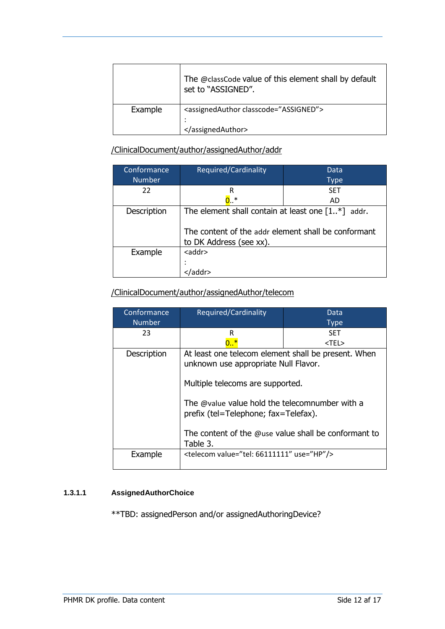|         | The @classCode value of this element shall by default<br>set to "ASSIGNED". |
|---------|-----------------------------------------------------------------------------|
| Example | <assignedauthor classcode="ASSIGNED"><br/>٠<br/>٠<br/></assignedauthor>     |

/ClinicalDocument/author/assignedAuthor/addr

| Conformance   | Required/Cardinality                                    | Data        |
|---------------|---------------------------------------------------------|-------------|
| <b>Number</b> |                                                         | <b>Type</b> |
| 22            | R                                                       | <b>SET</b>  |
|               | $0.$ *                                                  | AD          |
| Description   | The element shall contain at least one $[1.*]$<br>addr. |             |
|               | The content of the addr element shall be conformant     |             |
|               | to DK Address (see xx).                                 |             |
| Example       | $<$ addr $>$                                            |             |
|               |                                                         |             |
|               |                                                         |             |

# /ClinicalDocument/author/assignedAuthor/telecom

| Conformance   | Required/Cardinality                                                                                                                                                                                                                                                                          | Data        |
|---------------|-----------------------------------------------------------------------------------------------------------------------------------------------------------------------------------------------------------------------------------------------------------------------------------------------|-------------|
| <b>Number</b> |                                                                                                                                                                                                                                                                                               | <b>Type</b> |
| 23            | R                                                                                                                                                                                                                                                                                             | <b>SET</b>  |
|               |                                                                                                                                                                                                                                                                                               | <tel></tel> |
| Description   | At least one telecom element shall be present. When<br>unknown use appropriate Null Flavor.<br>Multiple telecoms are supported.<br>The @value value hold the telecomnumber with a<br>prefix (tel=Telephone; fax=Telefax).<br>The content of the @use value shall be conformant to<br>Table 3. |             |
| Example       | <telecom use="HP" value="tel: 66111111"></telecom>                                                                                                                                                                                                                                            |             |

#### **1.3.1.1 AssignedAuthorChoice**

\*\*TBD: assignedPerson and/or assignedAuthoringDevice?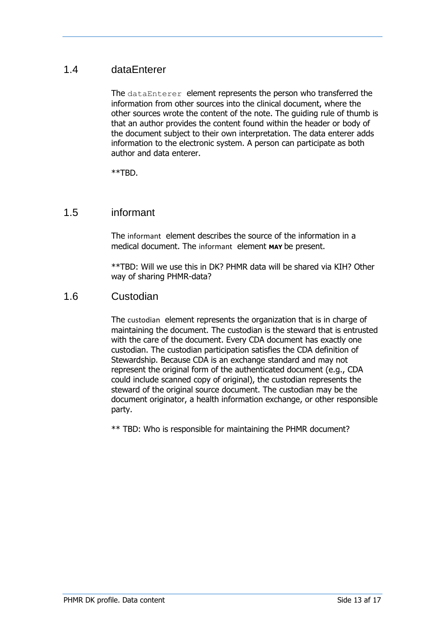# <span id="page-12-0"></span>1.4 dataEnterer

The dataEnterer element represents the person who transferred the information from other sources into the clinical document, where the other sources wrote the content of the note. The guiding rule of thumb is that an author provides the content found within the header or body of the document subject to their own interpretation. The data enterer adds information to the electronic system. A person can participate as both author and data enterer.

\*\*TBD.

## <span id="page-12-1"></span>1.5 informant

The informant element describes the source of the information in a medical document. The informant element **MAY** be present.

\*\*TBD: Will we use this in DK? PHMR data will be shared via KIH? Other way of sharing PHMR-data?

### <span id="page-12-2"></span>1.6 Custodian

The custodian element represents the organization that is in charge of maintaining the document. The custodian is the steward that is entrusted with the care of the document. Every CDA document has exactly one custodian. The custodian participation satisfies the CDA definition of Stewardship. Because CDA is an exchange standard and may not represent the original form of the authenticated document (e.g., CDA could include scanned copy of original), the custodian represents the steward of the original source document. The custodian may be the document originator, a health information exchange, or other responsible party.

\*\* TBD: Who is responsible for maintaining the PHMR document?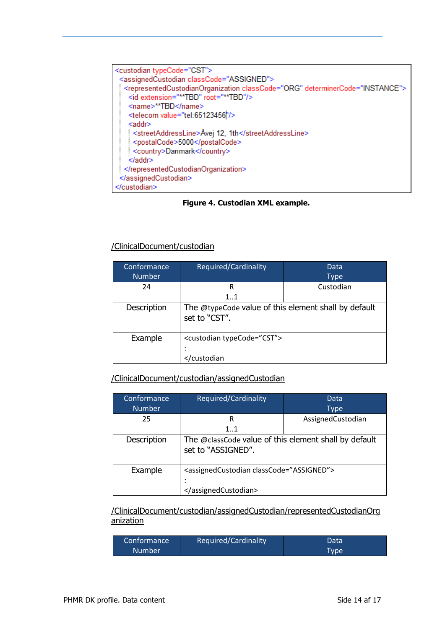

**Figure 4. Custodian XML example.**

#### /ClinicalDocument/custodian

| Conformance<br><b>Number</b> | Required/Cardinality                                                  | Data<br>Type |
|------------------------------|-----------------------------------------------------------------------|--------------|
| 24                           | R<br>$1_{}1$                                                          | Custodian    |
| Description                  | The @typeCode value of this element shall by default<br>set to "CST". |              |
| Example                      | <custodian typecode="CST"></custodian>                                |              |
|                              | <td></td>                                                             |              |

#### /ClinicalDocument/custodian/assignedCustodian

| Conformance   | Required/Cardinality                                                        | Data              |
|---------------|-----------------------------------------------------------------------------|-------------------|
| <b>Number</b> |                                                                             | Type              |
| 25            | R                                                                           | AssignedCustodian |
|               | 11                                                                          |                   |
| Description   | The @classCode value of this element shall by default<br>set to "ASSIGNED". |                   |
| Example       | <assignedcustodian classcode="ASSIGNED"></assignedcustodian>                |                   |
|               |                                                                             |                   |
|               |                                                                             |                   |

/ClinicalDocument/custodian/assignedCustodian/representedCustodianOrg anization

| Conformance   | Required/Cardinality | Data |
|---------------|----------------------|------|
| <b>Number</b> |                      | Tvpe |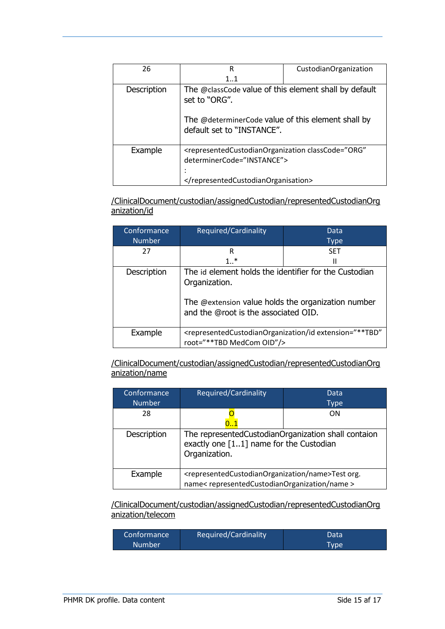| 26          | R                                                                                                                                                          | CustodianOrganization |
|-------------|------------------------------------------------------------------------------------------------------------------------------------------------------------|-----------------------|
|             | 1.1                                                                                                                                                        |                       |
| Description | The @classCode value of this element shall by default<br>set to "ORG".<br>The @determinerCode value of this element shall by<br>default set to "INSTANCE". |                       |
| Example     | <representedcustodianorganization <br="" classcode="ORG">determinerCode="INSTANCE"&gt;<br/></representedcustodianorganization>                             |                       |

/ClinicalDocument/custodian/assignedCustodian/representedCustodianOrg anization/id

| Conformance   | Required/Cardinality                                                                                                                                                 | Data                                                                                                     |
|---------------|----------------------------------------------------------------------------------------------------------------------------------------------------------------------|----------------------------------------------------------------------------------------------------------|
| <b>Number</b> |                                                                                                                                                                      | <b>Type</b>                                                                                              |
| 27            | R                                                                                                                                                                    | <b>SFT</b>                                                                                               |
|               | $1$ *                                                                                                                                                                | Ш                                                                                                        |
| Description   | The id element holds the identifier for the Custodian<br>Organization.<br>The @extension value holds the organization number<br>and the @root is the associated OID. |                                                                                                          |
| Example       | root="**TBD MedCom OID"/>                                                                                                                                            | <representedcustodianorganization <="" extension="**TBD" id="" td=""></representedcustodianorganization> |

/ClinicalDocument/custodian/assignedCustodian/representedCustodianOrg anization/name

| Conformance   | Required/Cardinality                                                                                            | Data      |
|---------------|-----------------------------------------------------------------------------------------------------------------|-----------|
| <b>Number</b> |                                                                                                                 | Type      |
| 28            |                                                                                                                 | <b>ON</b> |
|               |                                                                                                                 |           |
| Description   | The representedCustodianOrganization shall contaion<br>exactly one [11] name for the Custodian<br>Organization. |           |
| Example       | <representedcustodianorganization name="">Test org.</representedcustodianorganization>                          |           |
|               | name< representedCustodianOrganization/name >                                                                   |           |

/ClinicalDocument/custodian/assignedCustodian/representedCustodianOrg anization/telecom

| Required/Cardinality<br>Conformance <sup>'</sup> | Data |
|--------------------------------------------------|------|
| <b>Number</b>                                    | Type |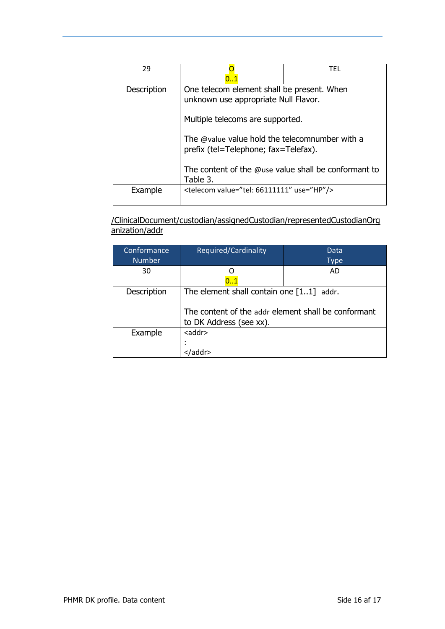| 29          |                                                                                                                                                                                                                                                                                      | TFL |
|-------------|--------------------------------------------------------------------------------------------------------------------------------------------------------------------------------------------------------------------------------------------------------------------------------------|-----|
| Description | One telecom element shall be present. When<br>unknown use appropriate Null Flavor.<br>Multiple telecoms are supported.<br>The @value value hold the telecomnumber with a<br>prefix (tel=Telephone; fax=Telefax).<br>The content of the @use value shall be conformant to<br>Table 3. |     |
| Example     | <telecom use="HP" value="tel: 66111111"></telecom>                                                                                                                                                                                                                                   |     |

/ClinicalDocument/custodian/assignedCustodian/representedCustodianOrg anization/addr

| Conformance   | Required/Cardinality                                                           | Data |
|---------------|--------------------------------------------------------------------------------|------|
| <b>Number</b> |                                                                                | Type |
| 30            |                                                                                | AD   |
|               | 01                                                                             |      |
| Description   | The element shall contain one $[11]$ addr.                                     |      |
|               | The content of the addr element shall be conformant<br>to DK Address (see xx). |      |
| Example       | <addr></addr>                                                                  |      |
|               |                                                                                |      |
|               |                                                                                |      |